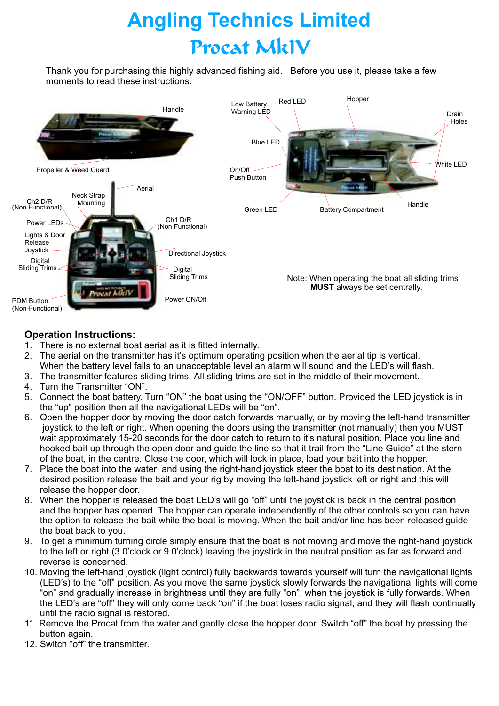# **Angling Technics Limited** Procat MkIV

Thank you for purchasing this highly advanced fishing aid. Before you use it, please take a few moments to read these instructions.



# **Operation Instructions:**

- 1. There is no external boat aerial as it is fitted internally.
- 2. The aerial on the transmitter has it's optimum operating position when the aerial tip is vertical. When the battery level falls to an unacceptable level an alarm will sound and the LED's will flash.
- 3. The transmitter features sliding trims. All sliding trims are set in the middle of their movement.
- 4. Turn the Transmitter "ON".
- 5. Connect the boat battery. Turn "ON" the boat using the "ON/OFF" button. Provided the LED joystick is in the "up" position then all the navigational LEDs will be "on".
- 6. Open the hopper door by moving the door catch forwards manually, or by moving the left-hand transmitter joystick to the left or right. When opening the doors using the transmitter (not manually) then you MUST wait approximately 15-20 seconds for the door catch to return to it's natural position. Place you line and hooked bait up through the open door and guide the line so that it trail from the "Line Guide" at the stern of the boat, in the centre. Close the door, which will lock in place, load your bait into the hopper.
- 7. Place the boat into the water and using the right-hand joystick steer the boat to its destination. At the desired position release the bait and your rig by moving the left-hand joystick left or right and this will release the hopper door.
- 8. When the hopper is released the boat LED's will go "off" until the joystick is back in the central position and the hopper has opened. The hopper can operate independently of the other controls so you can have the option to release the bait while the boat is moving. When the bait and/or line has been released guide the boat back to you.
- 9. To get a minimum turning circle simply ensure that the boat is not moving and move the right-hand joystick to the left or right (3 0'clock or 9 0'clock) leaving the joystick in the neutral position as far as forward and reverse is concerned.
- 10. Moving the left-hand joystick (light control) fully backwards towards yourself will turn the navigational lights (LED's) to the "off" position. As you move the same joystick slowly forwards the navigational lights will come "on" and gradually increase in brightness until they are fully "on", when the joystick is fully forwards. When the LED's are "off" they will only come back "on" if the boat loses radio signal, and they will flash continually until the radio signal is restored.
- 11. Remove the Procat from the water and gently close the hopper door. Switch "off" the boat by pressing the button again.
- 12. Switch "off" the transmitter.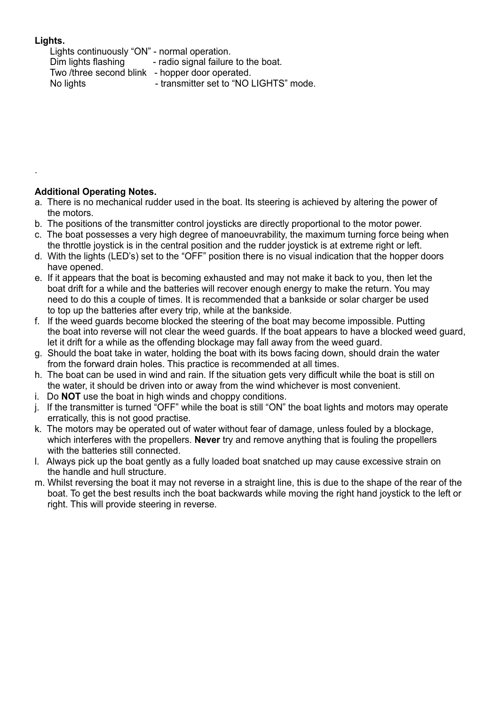# **Lights.**

.

Lights continuously "ON" - normal operation. Dim lights flashing - radio signal failure to the boat. Two /three second blink - hopper door operated. No lights **- transmitter set to "NO LIGHTS"** mode.

### **Additional Operating Notes.**

- a. There is no mechanical rudder used in the boat. Its steering is achieved by altering the power of the motors.
- b. The positions of the transmitter control joysticks are directly proportional to the motor power.
- c. The boat possesses a very high degree of manoeuvrability, the maximum turning force being when the throttle joystick is in the central position and the rudder joystick is at extreme right or left.
- d. With the lights (LED's) set to the "OFF" position there is no visual indication that the hopper doors have opened.
- e. If it appears that the boat is becoming exhausted and may not make it back to you, then let the boat drift for a while and the batteries will recover enough energy to make the return. You may need to do this a couple of times. It is recommended that a bankside or solar charger be used to top up the batteries after every trip, while at the bankside.
- f. If the weed guards become blocked the steering of the boat may become impossible. Putting the boat into reverse will not clear the weed guards. If the boat appears to have a blocked weed guard, let it drift for a while as the offending blockage may fall away from the weed guard.
- g. Should the boat take in water, holding the boat with its bows facing down, should drain the water from the forward drain holes. This practice is recommended at all times.
- h. The boat can be used in wind and rain. If the situation gets very difficult while the boat is still on the water, it should be driven into or away from the wind whichever is most convenient.
- i. Do **NOT** use the boat in high winds and choppy conditions.
- j. If the transmitter is turned "OFF" while the boat is still "ON" the boat lights and motors may operate erratically, this is not good practise.
- k. The motors may be operated out of water without fear of damage, unless fouled by a blockage, which interferes with the propellers. **Never** try and remove anything that is fouling the propellers with the batteries still connected.
- l. Always pick up the boat gently as a fully loaded boat snatched up may cause excessive strain on the handle and hull structure.
- m. Whilst reversing the boat it may not reverse in a straight line, this is due to the shape of the rear of the boat. To get the best results inch the boat backwards while moving the right hand joystick to the left or right. This will provide steering in reverse.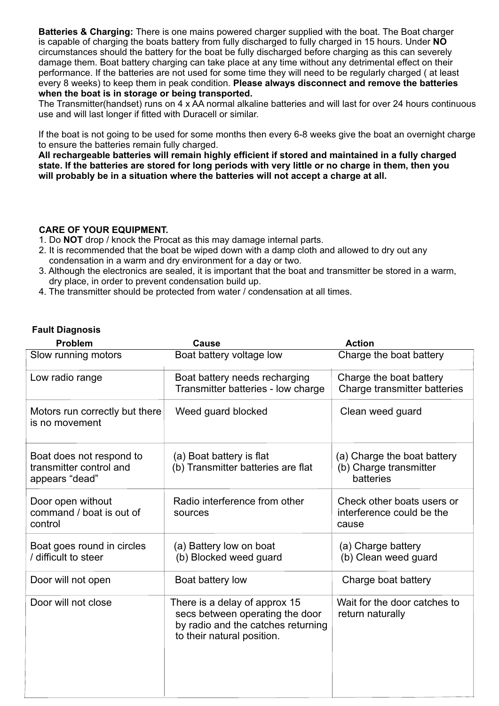**Batteries & Charging:** There is one mains powered charger supplied with the boat. The Boat charger is capable of charging the boats battery from fully discharged to fully charged in 15 hours. Under NO every 8 weeks) to keep them in peak condition. **Please always disconnect and remove the batteries when the boat is in storage or being transported.** circumstances should the battery for the boat be fully discharged before charging as this can severely damage them. Boat battery charging can take place at any time without any detrimental effect on their performance. If the batteries are not used for some time they will need to be regularly charged ( at least

The Transmitter(handset) runs on 4 x AA normal alkaline batteries and will last for over 24 hours continuous use and will last longer if fitted with Duracell or similar.

If the boat is not going to be used for some months then every 6-8 weeks give the boat an overnight charge to ensure the batteries remain fully charged.

**All rechargeable batteries will remain highly efficient if stored and maintained in a fully charged state. If the batteries are stored for long periods with very little or no charge in them, then you will probably be in a situation where the batteries will not accept a charge at all.**

### **CARE OF YOUR EQUIPMENT.**

- 1. Do **NOT** drop / knock the Procat as this may damage internal parts.
- 2. It is recommended that the boat be wiped down with a damp cloth and allowed to dry out any condensation in a warm and dry environment for a day or two.
- 3. Although the electronics are sealed, it is important that the boat and transmitter be stored in a warm, dry place, in order to prevent condensation build up.
- 4. The transmitter should be protected from water / condensation at all times.

#### **Fault Diagnosis**

| <b>Problem</b>                                                        | <b>Cause</b>                                                                                                                         | <b>Action</b>                                                      |
|-----------------------------------------------------------------------|--------------------------------------------------------------------------------------------------------------------------------------|--------------------------------------------------------------------|
| Slow running motors                                                   | Boat battery voltage low                                                                                                             | Charge the boat battery                                            |
| Low radio range                                                       | Boat battery needs recharging<br>Transmitter batteries - low charge                                                                  | Charge the boat battery<br>Charge transmitter batteries            |
| Motors run correctly but there<br>is no movement                      | Weed guard blocked                                                                                                                   | Clean weed guard                                                   |
| Boat does not respond to<br>transmitter control and<br>appears "dead" | (a) Boat battery is flat<br>(b) Transmitter batteries are flat                                                                       | (a) Charge the boat battery<br>(b) Charge transmitter<br>batteries |
| Door open without<br>command / boat is out of<br>control              | Radio interference from other<br>sources                                                                                             | Check other boats users or<br>interference could be the<br>cause   |
| Boat goes round in circles<br>/ difficult to steer                    | (a) Battery low on boat<br>(b) Blocked weed guard                                                                                    | (a) Charge battery<br>(b) Clean weed guard                         |
| Door will not open                                                    | Boat battery low                                                                                                                     | Charge boat battery                                                |
| Door will not close                                                   | There is a delay of approx 15<br>secs between operating the door<br>by radio and the catches returning<br>to their natural position. | Wait for the door catches to<br>return naturally                   |